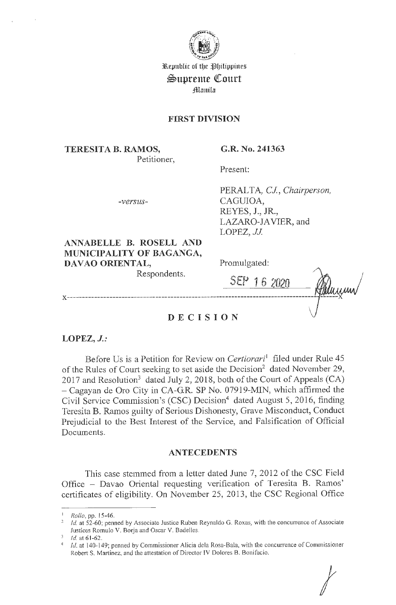

3&.epublic of tl)e 1~IJiliµµines  $\mathfrak{S}$ uprente Court **Manila** 

### **FIRST DIVISION**

**TERESITA B. RAMOS,**  Petitioner, **G.R. No. 241363** 

Present:

*-versus-*

PERALTA, *CJ, Chairperson,*  CAGUIOA, REYES, J., JR., LAZARO-JAVIER, and LOPEZ, *JJ.* 

**ANNABELLE B. ROSELL AND MUNICIPALITY OF BAGANGA, DAVAO ORIENTAL,**  Respondents.

Promulgated:

**SEP 16 2020 x ---------------------------------------------------------------------------------- ------x** 

*I* 

## **DECIS <sup>I</sup> ON**

**LOPEZ, J.:** 

Before Us is a Petition for Review on *Certiorari'* filed under Rule 45 of the Rules of Court seeking to set aside the Decision<sup>2</sup> dated November 29, 2017 and Resolution<sup>3</sup> dated July 2, 2018, both of the Court of Appeals (CA) - Cagayan de Oro City in CA-G.R. SP No. 07919-MIN, which affirmed the Civil Service Commission's (CSC) Decision<sup>4</sup> dated August 5, 2016, finding Teresita B. Ramos guilty of Serious Dishonesty, Grave Misconduct, Conduct Prejudicial to the Best Interest of the Service, and Falsification of Official Documents.

### **ANTECEDENTS**

This case stemmed from a letter dated June 7, 2012 of the CSC Field Office - Davao Oriental requesting verification of Teresita B. Ramos' certificates of eligibility. On November 25, 2013, the CSC Regional Office

<sup>1</sup> *Rollo,* pp. 15-46.

<sup>&</sup>lt;sup>2</sup> *Id.* at 52-60; penned by Associate Justice Ruben Reynaldo G. Roxas, with the concurrence of Associate Justices Romulo V. Borja and Oscar V. Badelles.

<sup>1</sup>d. at 61-62.

Id. at 140-149; penned by Commissioner Alicia dela Rosa-Bala, with the concurrence of Commissioner Robert S. Martinez, and the attestation of Director IV Dolores B. Bonifacio.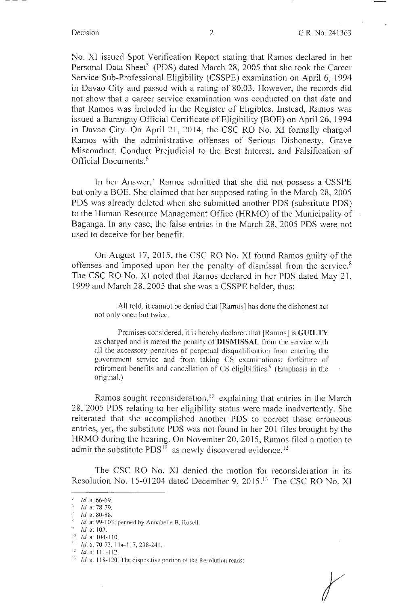r

No. X1 issued Spot Verification Report stating that Ramos declared in her Personal Data Sheet<sup>5</sup> (PDS) dated March 28, 2005 that she took the Career Service Sub-Professional Eligibility (CSSPE) examination on April 6, 1994 in Davao City and passed with a rating of 80.03. However, the records did not show that a career service examination was conducted on that date and that Ramos was included in the Register of Eligibles. Instead, Ramos was issued a Barangay Official Certificate of Eligibility (BOE) on April 26, 1994 in Davao City. On April 21, 2014, the CSC RO No. XI formally charged Ramos with the administrative offenses of Serious Dishonesty, Grave Misconduct, Conduct Prejudicial to the Best Interest, and Falsification of Official Documents. 6

In her Answer,<sup>7</sup> Ramos admitted that she did not possess a CSSPE but only a BOE. She claimed that her supposed rating in the March 28, 2005 PDS was already deleted when she submitted another PDS (substitute PDS) to the Human Resource Management Office (HRMO) of the Municipality of Baganga. 1n any case, the false entries in the March 28, 2005 PDS were not used to deceive for her benefit.

On August 17, 2015, the CSC RO No. XI found Ramos guilty of the offenses and imposed upon her the penalty of dismissal from the service.<sup>8</sup> The CSC RO No. XI noted that Ramos declared in her PDS dated May 21, 1999 and March 28, 2005 that she was a CSSPE holder, thus:

All told, it cannot be denied that [Ramos] has done the dishonest act not only once but twice.

Premises considered, it is hereby declared that [Ramos] is **GUILTY**  as charged and is meted the penalty of **DISMISSAL** from the service with all the accessory penalties of perpetual disqualification from entering the government service and from taking CS examinations; forfeiture of retirement benefits and cancellation of CS eligibilities.<sup>9</sup> (Emphasis in the original.)

Ramos sought reconsideration,  $10$  explaining that entries in the March 28, 2005 PDS relating to her eligibility status were made inadvertently. She reiterated that she accomplished another PDS to correct these erroneous entries, yet, the substitute PDS was not found in her 201 files brought by the HRMO during the hearing. On November 20, 2015, Ramos filed a motion to admit the substitute  $PDS<sup>11</sup>$  as newly discovered evidence.<sup>12</sup>

The CSC RO No. XI denied the motion for reconsideration in its Resolution No. 15-01204 dated December 9, 2015.<sup>13</sup> The CSC RO No. XI

 $\frac{5}{6}$  *Id.* at 66-69.

*Id.* at 78-79.

 $7$  Id. at 80-88.

<sup>&</sup>lt;sup>8</sup> *Id.* at 99-103; penned by Annabelle B. Rosell.<br><sup>9</sup> *Id.* at 103. <sup>10</sup> *Id.* at 104-110.

<sup>&</sup>lt;sup>11</sup> *Id.* at 70-73, 114-117, 238-241.

 $12$  *Id.* at 111-112.

 $13$  Id. at 118-120. The dispositive portion of the Resolution reads: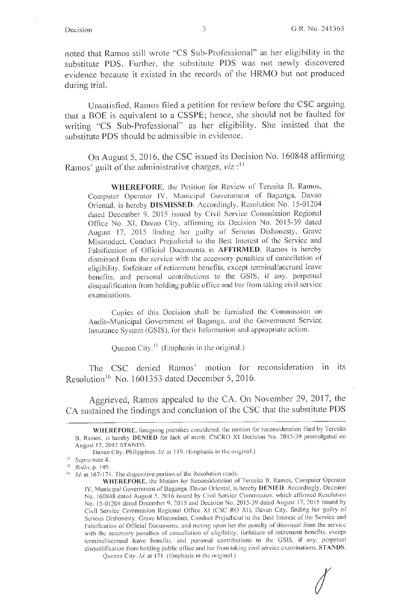noted that Ramos still wrote "CS Sub-Professional" as her eligibility in the substitute PDS. Further, the substitute PDS was not newly discovered evidence because it existed in the records of the HRMO but not produced during trial.

Unsatisfied, Ramos filed a petition for review before the CSC arguing that a BOE is equivalent to a CSSPE; hence, she should not be faulted for writing "CS Sub-Professional" as her eligibility. She insisted that the substitute PDS should be admissible in evidence.

On August 5, 2016, the CSC issued its Decision No. 160848 affirming Ramos' guilt of the administrative charges, *viz*.:<sup>14</sup>

**WHEREFORE,** the Petition for Review of Teresita B. Ramos, Computer Operator lV, Municipal Government of Baganga, Davao Oriental, is hereby **DISMISSED**. Accordingly, Resolution No. 15-01204 dated December 9, 2015 issued by Civil Service Commission Regional Office No. XJ, Davao City, affirming its Decision No. 2015-39 dated August 17, 2015 finding her guilty of Serious Dishonesty, Grave Misconduct, Conduct Prejudicial to the Best Interest of the Service and Falsification of Official Documents is **AFFIRMED.** Ramos is hereby dismissed from the service with the accessory penalties of cancellation of eligibility, forfeiture of retirement benefits, excepl terminal/accrued leave benefits, and personal contributions to the GSIS, if any, perpetual disqualification from holding public office and bar from taking civil service examinations.

Copies of this Decision shall be furnished the Commission on Audit- Municipal Government of Baganga, and the Government Service Insurance System (GSIS), for their Information and appropriate action.

Quezon City.<sup>15</sup> (Emphasis in the original.)

The CSC denied Ramos' motion for reconsideration in its Resolution<sup>16</sup> No. 1601353 dated December 5, 2016.

Aggrieved, Ramos appealed to the CA. On November 29, 2017, the CA sustained the findings and conclusion of the CSC that the substitute PDS

*I* 

WHEREFORE, foregoing premises considered, the motion for reconsideration filed by Teresita B. Ramos, is hereby DENIED for lack of merit. CSCRO XI Decision No. 2015-39 promulgated on August 17, 2015 STANDS.

Davao City, Philippines. *Id.* at 119. (Emphasis in the original.)

<sup>14</sup> *Supra* note 4.

<sup>&</sup>lt;sup>16</sup> *Id.* at 167-171. The dispositive portion of the Resolution reads:

**WHEREFORE,** the Motion for Reconsideration of Teresita B. Ramos, Computer Operator IV, Municipal Government of Baganga, Davao Oriental, is hereby **DENIED.** Accordingly, Decision No. 160848 dated August 5, 2016 issued by Civil Service Commission, which affirmed Resolution No. 15-01204 dated December 9, 2015 and Decision No. 2015-39 dated August 17, 2015 issued by Civil Service Commission Regional Office XI (CSC RO XI), Davao City, finding her guilty of Serious Dishonesty, Grave Misconduct, Conduct Prejudicial to the Best Interest of the Service and Falsification of Official Documents, and meting upon her the penalty of dismissal from the service with the accessory penalties of cancellation of eligibility, forfeiture of retirement benefits, except terminal/accrued leave benefits, and personal contributions to the GSIS, if any, perpetual disqual ification from holding public office and bar from taking civil service examinations, **STANDS.**  Quezon City. Id. at 171. (Emphasis in the original.)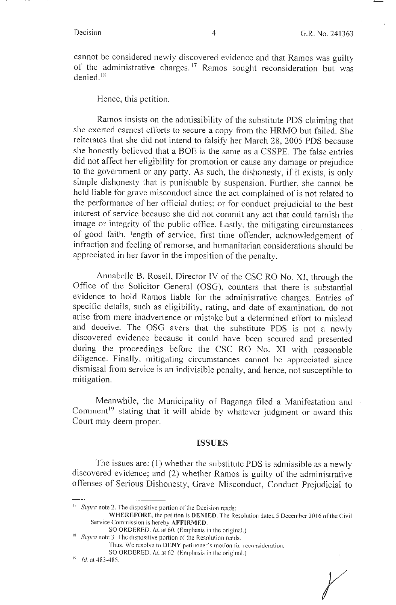cannot be considered newly discovered evidence and that Ramos was guilty of the administrative charges.<sup>17</sup> Ramos sought reconsideration but was denied. <sup>18</sup>

Hence, this petition.

Ramos insists on the admissibility of the substitute PDS claiming that she exerted earnest efforts to secure a copy from the HRMO but failed. She reiterates that she did not intend to falsify her March 28, 2005 PDS because she honestly believed that a BOE is the same as a CSSPE. The false entries did not affect her eligibility for promotion or cause any damage or prejudice to the government or any party. As such, the dishonesty, if it exists, is only simple dishonesty that is punishable by suspension. Further, she cannot be held liable for grave misconduct since the act complained of is not related to the performance of her official duties; or for conduct prejudicial to the best interest of service because she did not commit any act that could tarnish the image or integrity of the public office. Lastly, the mitigating circumstances of good faith, length of service, first time offender, acknowledgement of infraction and feeling of remorse, and humanitarian considerations should be appreciated in her favor in the imposition of the penalty.

Annabelle B. Rosell, Director IV of the CSC RO No. XI, through the Office of the Solicitor General (OSG), counters that there is substantial evidence to hold Ramos liable for the administrative charges. Entries of specific details, such as eligibility, rating, and date of examination, do not arise from mere inadvertence or mistake but a determined effort to mislead and deceive. The OSG avers that the substitute PDS is not a newly discovered evidence because it could have been secured and presented during the proceedings before the CSC RO No. XJ with reasonable diligence. Finally, mitigating circumstances cannot be appreciated since dismissal from service is an indivisible penalty, and hence, not susceptible to mitigation.

Meanwhile, the Municipality of Baganga filed a Manifestation and Comment<sup>19</sup> stating that it will abide by whatever judgment or award this Court may deem proper.

#### **ISSUES**

The issues are: (1) whether the substitute **PDS** is admissible as a newly discovered evidence; and (2) whether Ramos is guilty of the administrative offenses of Serious Dishonesty, Grave Misconduct, Conduct Prejudicial to

r

<sup>&</sup>lt;sup>17</sup> Supra note 2. The dispositive portion of the Decision reads:

WHEREFORE, the petition is DENIED. The Resolution dated 5 December 2016 of the Civil Service Commission is hereby **AFFIRMED.** 

SO ORDERED. *Id.* at 60. (Emphasis in the original.)

<sup>&</sup>lt;sup>18</sup> Supra note 3. The dispositive portion of the Resolution reads:

Thus, We resolve to DENY petitioner's motion for reconsideration.

SO ORDERED. Id. 8162. (Emphasis in the original.) 10 *Id* at 483-485.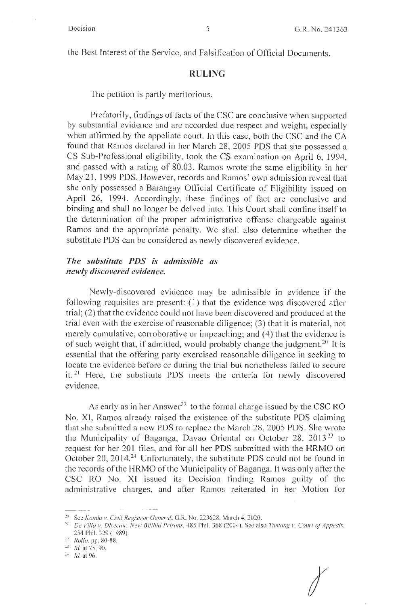the Best Interest of the Service, and Falsification of Official Documents.

#### **RULING**

The petition is partly meritorious.

Prefatorily, findings of facts of the CSC are conclusive when supported by substantial evidence and are accorded due respect and weight, especially when affirmed by the appellate court. In this case, both the CSC and the CA found that Ramos declared in her March 28, 2005 PDS that she possessed a CS Sub-Professional eligibility, took the CS examination on April 6, 1994, and passed with a rating of 80.03. Ramos wrote the same eligibility in her May 2 1, 1999 **PDS.** However, records and Ramos' own admission reveal that she only possessed a Barangay Official Certificate of Eligibility issued on April 26, 1994. Accordingly, these findings of fact are conclusive and binding and shall no longer be delved into. This Court shall confine itself to the determination of the proper administrative offense chargeable against Ramos and the appropriate penalty. We shall also determine whether the substitute PDS can be considered as newly discovered evidence.

### *The substitute PDS is admissible as newly discovered evidence.*

Newly-discovered evidence may be admissible in evidence if the following requisites are present: (1) that the evidence was discovered after trial; (2) that the evidence could not have been discovered and produced at the trial even with the exercise of reasonable diligence; (3) that it is material, not merely cumulative, corroborative or impeaching; and (4) that the evidence is of such weight that, if admitted, would probably change the judgment.<sup>20</sup> It is essential that the offering party exercised reasonable diligence in seeking to locate the evidence before or during the trial but nonetheless failed to secure it.<sup>21</sup> Here, the substitute PDS meets the criteria for newly discovered evidence.

As early as in her Answer<sup>22</sup> to the formal charge issued by the CSC RO No. XI, Ramos already raised the existence of the substitute PDS claiming that she submitted a new PDS to replace the March 28, 2005 PDS. She wrote the Municipality of Baganga, Davao Oriental on October 28, 2013<sup>23</sup> to request for her 201 files, and for all her PDS submitted with the HRMO on October 20, 2014.<sup>24</sup> Unfortunately, the substitute PDS could not be found in the records of the HRMO of the Municipality of Baganga. It was only after the CSC RO No. XI issued its Decision finding Ramos guilty of the administrative charges, and after Ramos reiterated in her Motion for

*I* 

<sup>20</sup> See *Kondo v. Civil Regislrar General,* G.R. No. 223628, March 4, 2020.

<sup>&</sup>lt;sup>21</sup> De Villa v. Director, New Bilibid Prisons, 485 Phil. 368 (2004). Sec also *Tumang v. Court of Appeals*, 254 Phil. 329 ( 1989).

<sup>22</sup>*Rullu.* pp. 80-88.

 $\frac{23}{24}$  *Id.* at 75, 90.<br> $\frac{24}{1}$  *Id.* at 96.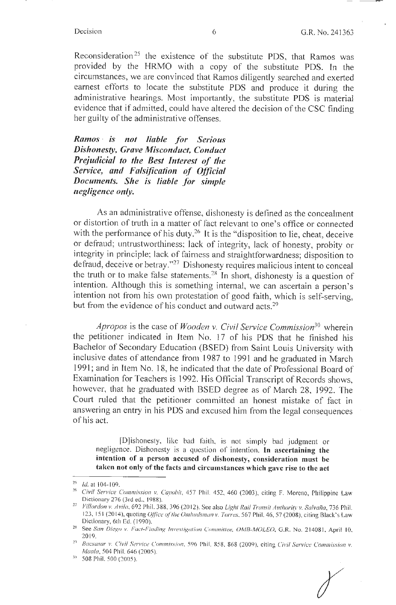Reconsideration<sup>25</sup> the existence of the substitute PDS, that Ramos was provided by the HRMO with a copy of the substitute PDS. fn the circumstances, we are convinced that Ramos diligently searched and exerted earnest efforts to locate the substitute PDS and produce it during the administrative hearings. Most importantly, the substitute PDS is material evidence that if admitted, could have altered the decision of the CSC finding her guilty of the administrative offenses.

*Ramos* · *is not liable for Serious Dishonesty, Grave Misconduct, Conduct Prejudicial to the Best Interest of the Service, and Falsffication of Official Documents. She is liable for simple negligence on(y.* 

As an administrative offense, dishonesty is defined as the concealment or distortion of truth in a matter of fact relevant to one's office or connected with the performance of his duty.<sup>26</sup> It is the "disposition to lie, cheat, deceive or defraud; untrustworthiness; lack of integrity, lack of honesty, probity or integrity in principle; lack of fairness and straightforwardness; disposition to defraud, deceive or betray.'' 27 Dishonesty requires malicious intent to conceal the truth or to make false statements.28 In short, dishonesty is a question of intention. Although this is something internal, we can ascertain a person's intention not from his own protestation of good faith, which is self-serving, but from the evidence of his conduct and outward acts.<sup>29</sup>

*Apropos* is the case of *Wooden v. Civil Service Commission30* wherein the petitioner indicated in Item No. 17 of his PDS that he finished his Bachelor of Secondary Education (BSED) from Saint Louis University with inclusive dates of attendance from 1987 to 1991 and he graduated in March 1991; and in Item No. I 8, he indicated that the date of Professional Board of Examination for Teachers is l 992. His Official Transcript of Records shows, however, that he graduated with BSED degree as of March 28, 1992. The Court ruled that the petitioner committed an honest mistake of fact in answering an entry in his PDS and excused him from the legal consequences of his act.

[D]ishonesty, like bad failh, is not simply bad judgment or negligence. Dishonesly is a question of intention. **In ascertaining the intention of a person accused of dishonesty, consideration must be taken not only of the facts and circumstances which gave rise to the act** 

<sup>&</sup>lt;sup>25</sup> *1d.* at 104-109.<br><sup>26</sup> *Civil Service Commission v. Cayobit*, 457 Phil. 452, 460 (2003), citing F. Moreno, Philippine Law Dictionary 276 (3rd ed., 1988).

<sup>&</sup>lt;sup>27</sup> Villordon v. Avila, 692 Phil. 388, 396 (2012). See also *Light Rail Transit Authority v. Salvaña*, 736 Phil. 123, 151 (2014), quoting *Office of the Ombudsman v. Torres*, 567 Phil. 46, 57 (2008), citing Black's Law Dictionary, 6th Ed. ( 1990).

<sup>&</sup>lt;sup>28</sup> See *San Diego v. Fact-Finding Investigation Committee, OMB-MOLEO*, G.R. No. 214081, April 10. 2019.<br><sup>29</sup> *Bacsasar v. Civil Service Commission, 596 Phil. 858, 868 (2009), citing <i>Civil Service Commission v.* 

Maala, 504 Phil. 646 (2005).

<sup>30 508</sup> Phil. 500 (2005).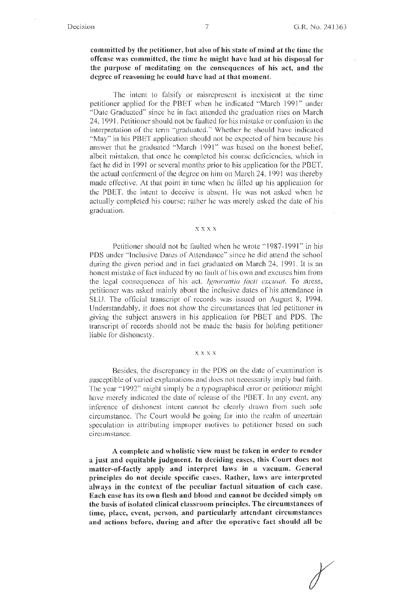#### **committed by the petitioner, but also of his state of mind at the time the offense was committed, the time he might have had at his disposal for the purpose of meditating on the consequences of his act, and the degree of reasoning he could have had at that moment.**

The intent to falsify or misrepresent is inexistent at lhe time petitioner applied for the PBET when he indicated "March 1991" under "Date Graduated" since he in fact attended the graduation rites on March 24, 1991. Petitioner should not be faullcd for his mistake or confusion in the interpretation of the term "graduated." Whether he should have indicated "May" in his PBET application should not be expected of him because his answer that he graduated "March 1991" was based on the honest belief, albeit mistaken, that once he completed his course deficiencies, which in fact he did in 1991 or several months prior to his application for the PBET, the actual conferment of the degree on him on March 24, 1991 was thereby made effective. At that point in time when he filled up his application for the PBET, the intent to deceive is absent. He was not asked when he actually completed his course; rather he was merely asked the date of his graduation.

#### **xxxx**

Petitioner should not be faulted when he wrote " 1987-1991'' in his PDS under "Inclusive Dates of Attendance" since he did attend the school during the given period and in fact graduated on March 24, 1991. It is an honest mistake of fact induced by no fault of his own and excuses him from the legal consequences of his act. Ignorantia facti excusat. To stress, petitioner was asked mainly about the inclusive dates of his attendance in SLU. The official transcript of records was issued on August 8, 1994. Understandably, it does not show the circumstances that led petitioner **in**  giving the subject answers in his application for PBET and POS. The transcript of records should not be made the basis for holding petitioner liable for dishonesty.

#### **xxxx**

Besides, the discrepancy in the PDS on the date of examination is susceptible of varied explanations and does not necessarily imply bad faith. The year " 1992'' might simply be a typographical error or petitioner might have merely indicated the date of release of the PBET. In any event, any inference of dishonest intent cannot be clearly drawn from such sole circumstance. The Court would be going far into the realm of uncertain speculation in attributing improper motives to petitioner based on such circumstance.

**A complete and wholistic view must be taken in order to render a just and equitable \_judgment. In deciding cases, this Court does not matter-of-factly apply and interpret laws in a vacuum. General principles do not decide specific cases. Rather, laws arc interpreted always in the context of the peculiar factual situation of each case. Each case has its own flesh and blood and cannot be decided simply on the basis of isolated clinical classroom principles. The circumstances of time, place, event, person, and particularly attendant circumstances**  and actions before, during and after the operative fact should all be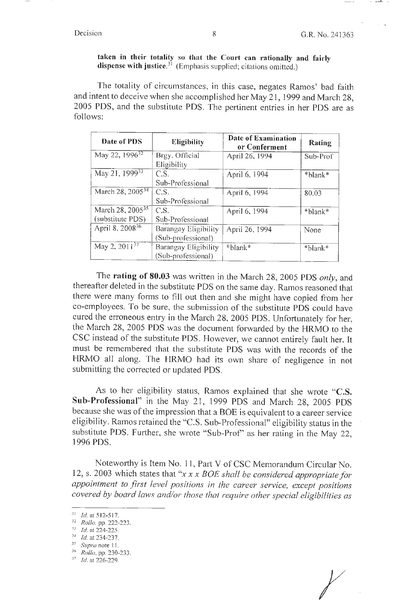#### **taken in their totality so that the Court can rationally and fairly dispense with justice.<sup>31</sup>**(Emphasis supplied; citations omitted.)

The totality of circumstances, in this case, negates Ramos' bad faith and intent to deceive when she accomplished her May 21, 1999 and March 28, 2005 PDS, and the substitute PDS. The pertinent entries in her PDS are as follows:

| Date of PDS                  | <b>Eligibility</b>   | <b>Date of Examination</b><br>or Conferment | Rating   |
|------------------------------|----------------------|---------------------------------------------|----------|
| May 22, 1996 <sup>32</sup>   | Brgy. Official       | April 26, 1994                              | Sub-Prof |
|                              | Eligibility          |                                             |          |
| May 21, 1999 <sup>33</sup>   | C.S.                 | April 6, 1994                               | *blank*  |
|                              | Sub-Professional     |                                             |          |
| March 28, 2005 <sup>34</sup> | C.S.                 | April 6, 1994                               | 80,03    |
|                              | Sub-Professional     |                                             |          |
| March 28, 2005 <sup>35</sup> | C.S.                 | April 6, 1994                               | *blank*  |
| (substitute PDS)             | Sub-Professional     |                                             |          |
| April 8, 2008 <sup>36</sup>  | Barangay Eligibility | April 26, 1994                              | None     |
|                              | (Sub-professional)   |                                             |          |
| May 2, 2011 <sup>37</sup>    | Barangay Eligibility | *blank*                                     | *blank*  |
|                              | (Sub-professional)   |                                             |          |

The **rating of 80.03** was written in the March 28, 2005 PDS *only,* and thereafter deleted in the substitute PDS on the same day. Ramos reasoned that there were many forms to fill out then and she might have copied from her co-employees. To be sure, the submission of the substitute PDS could have cured the erroneous entry in the March 28, 2005 PDS. Unfortunately for her, the March 28, 2005 PDS was the document forwarded by the HRMO to the CSC instead of the substitute PDS. However, we cannot entirely fault her. It must be remembered that the substitute PDS was with the records of the HRMO all along. The HRMO had its own share of negligence in not submitting the corrected or updated PDS.

As to her eligibility status, Ramos explained that she wrote **"C.S. Sub-Professional"** in the May 21, 1999 PDS and March 28, 2005 PDS because she was of the impression that a BOE is equivalent to a career service eligibility. Ramos retained the "C.S. Sub-Professional" eligibility status in the substitute PDS. Further, she wrote "Sub-Prof' as her rating in the May 22, 1996 PDS.

Noteworthy is Item No. 11, Part V of CSC Memorandum Circular No. 12, s. 2003 which states that *"x xx BOE shall be considered appropriate for appointment to first level positions in the career service, except positions covered by board laws and/or those that require other special eligibilities as* 

 $31$  *Id.* at 512-517.

*<sup>32</sup> Rollo,* pp. 222-223. 33 Id. **at** 224-225.

<sup>3</sup> '  $\frac{1}{35}$  *Id.* at 234-237.

<sup>;</sup> *Supra* note I I.

<sup>&</sup>lt;sup>36</sup> *Rollo, pp.* 230-233.<br><sup>37</sup> *Id.* at 226-229.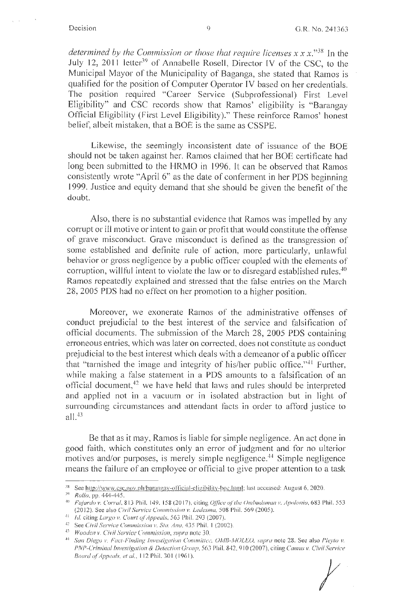*determined by the Commission or those that require licenses xx* x."38 In the July 12, 2011 letter<sup>39</sup> of Annabelle Rosell, Director IV of the CSC, to the Municipal Mayor of the Municipality of Baganga, she stated that Ramos is qualified for the position of Computer Operator IV based on her credentials. The position required "Career Service (Subprofessional) First Level Eligibility" and CSC records show that Ramos' eligibility is "Barangay Official Eligibility (First Level Eligibility)." These reinforce Ramos' honest belief, albeit mistaken, that a BOE is the same as CSSPE.

Likewise, the seemingly inconsistent date of issuance of the BOE should not be taken against her. Ramos claimed that her BOE certificate had long been submitted to the HRMO in 1996. It can be observed that Ramos consistently wrote "April 6" as the date of conferment in her PDS beginning 1999. Justice and equity demand that she should be given the benefit of the doubt.

Also, there is no substantial evidence that Ramos was impelled by any corrupt or ill motive or intent to gain or profit that would constitute the offense of grave misconduct. Grave misconduct is defined as the transgression of some established and definite rule of action, more particularly, unlawful behavior or gross negligence by a public officer coupled with the elements of corruption, willful intent to violate the law or to disregard established rules.<sup>40</sup> Ramos repeatedly explained and stressed that the false entries on the March 28, 2005 PDS had no effect on her promotion to a higher position.

Moreover, we exonerate Ramos of the administrative offenses of conduct prejudicial to the best interest of the service and falsification of official documents. The submission of the March 28, 2005 PDS containing erroneous entries, which was later on corrected, does not constitute as conduct prejudicial to the best interest which deals with a demeanor of a public officer that "tarnished the image and integrity of his/her public office."<sup>41</sup> Further, while making a false statement in a PDS amounts to a falsification of an official document,<sup>42</sup> we have held that laws and rules should be interpreted and applied not in a vacuum or in isolated abstraction but in light of surrounding circumstances and attendant facts in order to afford justice to all $.^{43}$ 

Be that as it may, Ramos is liable for simple negligence. An act done in good faith, which constitutes only an error of judgment and for no ulterior motives and/or purposes, is merely simple negligence.<sup>44</sup> Simple negligence means the failure of an employee or official to give proper attention to a task

*t* 

<sup>&</sup>lt;sup>38</sup> See http://www.csc.gov.ph/barangay-official-eligibility-boe.html; last accessed: August 6, 2020. *Rollo, pp. 444-445.* 

<sup>&</sup>lt;sup>40</sup> *Fajardo v. Corral, 813 Phil. 149, 158 (2017), citing Office of the Ombudsman v. Apolonio, 683 Phil. 553* (20 12). See a lso *Civil Service Commission v. Ledesma,* 508 Phil. 569 (2005).

<sup>4</sup> <sup>1</sup>*Id.* citing *l argo v. Court of Appeals,* 563 Phil. 293 (2007).

<sup>&</sup>lt;sup>42</sup> See *Civil Service Commission v. Sta. Ana*, 435 Phil. 1 (2002).

<sup>·</sup> <sup>13</sup>*Wooden v. Civil Service Commission, supra* note 30.

<sup>&</sup>lt;sup>44</sup> San Diego v. Fact-Finding Investigation Committee. OMB-MOLEO, supra note 28. See also Pleyto v. *PNP-Criminal Investigation* & *Detection Group,* 56J Phil. 842, 9 10 (2007), c iting *Camus v. Civil Service Board of Appeals, et al., 112 Phil. 301 (1961).*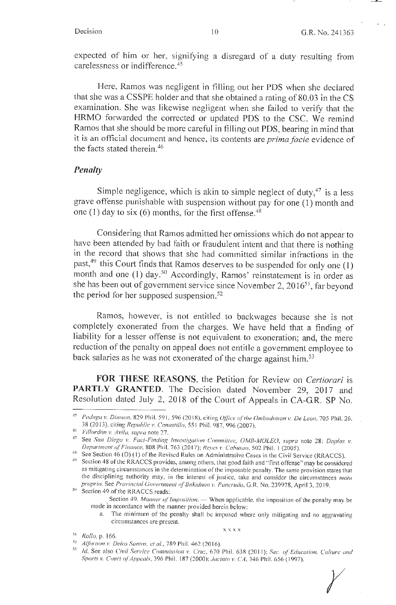expected of him or her, signifying a disregard of a duty resulting from carelessness or indifference.<sup>45</sup>

Here, Ramos was negligent in filling out her PDS when she declared that she was a CSSPE holder and that she obtained a rating of 80.03 in the CS examination. She was likewise negligent when she failed to verify that the HRMO forwarded the corrected or updated PDS to the CSC. We remind Ramos that she should be more careful in filling out PDS, bearing in mind that it is an official document and hence, its contents are *prima facie* evidence of the facts stated therein.<sup>46</sup>

#### *Penalty*

Simple negligence, which is akin to simple neglect of duty, $47$  is a less grave offense punishable with suspension without pay for one (l) month and one (1) day to six (6) months, for the first offense.<sup>48</sup>

Considering that Ramos admitted her omissions which do not appear to have been attended by bad faith or fraudulent intent and that there is nothing in the record that shows that she had committed similar infractions in the past, $49$  this Court finds that Ramos deserves to be suspended for only one (1) month and one (1) day.<sup>50</sup> Accordingly, Ramos' reinstatement is in order as she has been out of government service since November 2, 2016<sup>51</sup>, far beyond the period for her supposed suspension. <sup>52</sup>

Ramos, however, is not entitled to backwages because she is not completely exonerated from the charges. We have held that a finding of liability for a lesser offense is not equivalent to exoneration; and, the mere reduction of the penalty on appeal does not entitle a government employee to back salaries as he was not exonerated of the charge against him.<sup>53</sup>

**FOR THESE REASONS,** the Petition for Review on *Certiorari* is PARTLY GRANTED. The Decision dated November 29, 2017 and Resolution dated July 2, 2018 of the Court of Appeals in CA-GR. SP No.

Paduga v. Dimson, 829 Phil. 591, 596 (2018), citing *Office of the Ombudsman v. De Leon*, 705 Phil. 26, 38(20 13), citing *Repuhlic v. Canaslillo,* 55 1 Phil. 987, 996 (2007).

<sup>&#</sup>x27; <sup>16</sup>*Villvrdon* v. *Avila. supra* note 27.

<sup>&</sup>lt;sup>47</sup> See *San Diego v. Fact-Finding Investigation Committee, OMB-MOLEO, supra note 28; Daplas v. Department of Finance, 808 Phil. 163 (2017); Reves v. Cabusao, 502 Phil. 1 (2005).* 

<sup>&</sup>lt;sup>48</sup> See Section 46 (D) (1) of the Revised Rules on Administrative Cases in the Civil Service (RRACCS).

<sup>&#</sup>x27; 19 Section 48 of the RRACCS provides, among others, that good faith and " first offense" may be considered as mitigating circumstances in the determination of the imposable penalty. The same provision states that the disciplining authority may, in the interest of justice, take and consider the circumstances *motu* 

*proprio.* See *Provincial Government of Bukidnon v. Pancrudo*, G.R. No. 239978, April 3, 2019. Section 49 of the RRACCS reads: Section 49. *Manner of Imposition.* - When applicable, the imposition of the penalty may be

made in accordance with the manner provided herein below:

a. The minimum of the penalty shall be imposed where only mitigating and no aggravating circumstances are present.

xxxx <sup>5</sup> <sup>1</sup>*Rollo,* p. 166.

*<sup>52</sup> Alfornon v. Delos Santos, et al.*, 789 Phil. 462 (2016).

<sup>53</sup> *Id.* See also *Civil Service Commission v. Cruz*, 670 Phil. 638 (2011); *Sec. of Education*, Culture and *Sports v. Court ofAppeals,* 396 Phil. 187 (2000): *.Jacinto v. CA,* 346 Phil. 656 ( 1997). *r*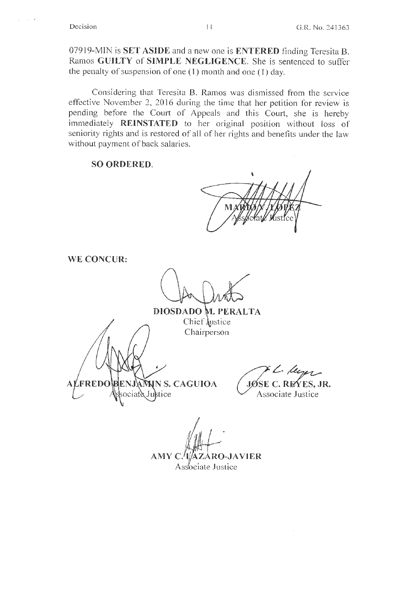$\sim$ 

07919-MIN is **SET ASIDE** and a new one is **ENTERED** finding Teresita B. Ramos **GUILTY of SIMPLE NEGLIGENCE.** She is sentenced to suffer the penalty of suspension of one (1) month and one ( I) day.

Considering that Teresita B. Ramos was dismissed from the service effective November 2, 2016 during the time that her petition for review is pending before the Court of Appeals and this Court, she is hereby immediately **REINSTATED** to her original position without loss of seniority rights and is restored of all of her rights and benefits under the law without payment of back salaries.

### **SO ORDERED.**

**WE CONCUR:** 

# **DIOSDADO t1 · PERALTA**

Chief  $\frac{1}{2}$ ustice Chairperson **NS. CAGUIOA**  FREDO ociate Justice

 $\gamma$ L-lup **JØSE C. REYES, JR.** 

Associate Justice

 $AMYC$ AZARO-JAVIER Associate Justice